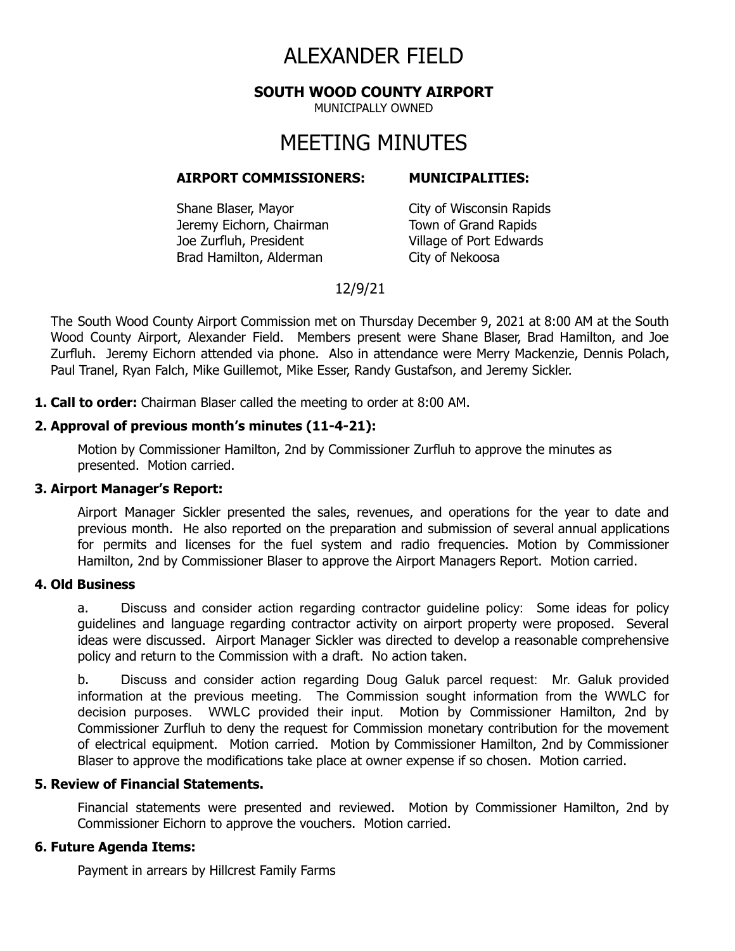# ALEXANDER FIELD

**SOUTH WOOD COUNTY AIRPORT**

MUNICIPALLY OWNED

# MEETING MINUTES

#### **AIRPORT COMMISSIONERS: MUNICIPALITIES:**

Shane Blaser, Mayor City of Wisconsin Rapids Jeremy Eichorn, Chairman Town of Grand Rapids Joe Zurfluh, President Village of Port Edwards Brad Hamilton, Alderman City of Nekoosa

## 12/9/21

The South Wood County Airport Commission met on Thursday December 9, 2021 at 8:00 AM at the South Wood County Airport, Alexander Field. Members present were Shane Blaser, Brad Hamilton, and Joe Zurfluh. Jeremy Eichorn attended via phone. Also in attendance were Merry Mackenzie, Dennis Polach, Paul Tranel, Ryan Falch, Mike Guillemot, Mike Esser, Randy Gustafson, and Jeremy Sickler.

**1. Call to order:** Chairman Blaser called the meeting to order at 8:00 AM.

### **2. Approval of previous month's minutes (11-4-21):**

Motion by Commissioner Hamilton, 2nd by Commissioner Zurfluh to approve the minutes as presented. Motion carried.

#### **3. Airport Manager's Report:**

Airport Manager Sickler presented the sales, revenues, and operations for the year to date and previous month. He also reported on the preparation and submission of several annual applications for permits and licenses for the fuel system and radio frequencies. Motion by Commissioner Hamilton, 2nd by Commissioner Blaser to approve the Airport Managers Report. Motion carried.

#### **4. Old Business**

a. Discuss and consider action regarding contractor guideline policy: Some ideas for policy guidelines and language regarding contractor activity on airport property were proposed. Several ideas were discussed. Airport Manager Sickler was directed to develop a reasonable comprehensive policy and return to the Commission with a draft. No action taken.

b. Discuss and consider action regarding Doug Galuk parcel request: Mr. Galuk provided information at the previous meeting. The Commission sought information from the WWLC for decision purposes. WWLC provided their input. Motion by Commissioner Hamilton, 2nd by Commissioner Zurfluh to deny the request for Commission monetary contribution for the movement of electrical equipment. Motion carried. Motion by Commissioner Hamilton, 2nd by Commissioner Blaser to approve the modifications take place at owner expense if so chosen. Motion carried.

#### **5. Review of Financial Statements.**

Financial statements were presented and reviewed. Motion by Commissioner Hamilton, 2nd by Commissioner Eichorn to approve the vouchers. Motion carried.

#### **6. Future Agenda Items:**

Payment in arrears by Hillcrest Family Farms